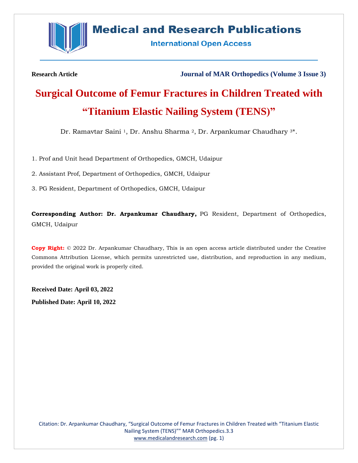

# **Medical and Research Publications**

**International Open Access** 

**Research Article Journal of MAR Orthopedics (Volume 3 Issue 3)**

# **Surgical Outcome of Femur Fractures in Children Treated with "Titanium Elastic Nailing System (TENS)"**

Dr. Ramavtar Saini <sup>1</sup>, Dr. Anshu Sharma <sup>2</sup>, Dr. Arpankumar Chaudhary <sup>3</sup>\*.

1. Prof and Unit head Department of Orthopedics, GMCH, Udaipur

2. Assistant Prof, Department of Orthopedics, GMCH, Udaipur

3. PG Resident, Department of Orthopedics, GMCH, Udaipur

**Corresponding Author: Dr. Arpankumar Chaudhary,** PG Resident, Department of Orthopedics, GMCH, Udaipur

**Copy Right:** © 2022 Dr. Arpankumar Chaudhary, This is an open access article distributed under the Creative Commons Attribution License, which permits unrestricted use, distribution, and reproduction in any medium, provided the original work is properly cited.

**Received Date: April 03, 2022 Published Date: April 10, 2022**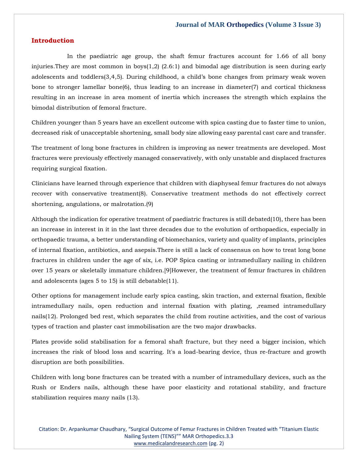#### **Introduction**

 In the paediatric age group, the shaft femur fractures account for 1.66 of all bony injuries. They are most common in  $\text{boys}(1,2)$  (2.6:1) and bimodal age distribution is seen during early adolescents and toddlers(3,4,5). During childhood, a child's bone changes from primary weak woven bone to stronger lamellar bone(6), thus leading to an increase in diameter(7) and cortical thickness resulting in an increase in area moment of inertia which increases the strength which explains the bimodal distribution of femoral fracture.

Children younger than 5 years have an excellent outcome with spica casting due to faster time to union, decreased risk of unacceptable shortening, small body size allowing easy parental cast care and transfer.

The treatment of long bone fractures in children is improving as newer treatments are developed. Most fractures were previously effectively managed conservatively, with only unstable and displaced fractures requiring surgical fixation.

Clinicians have learned through experience that children with diaphyseal femur fractures do not always recover with conservative treatment(8). Conservative treatment methods do not effectively correct shortening, angulations, or malrotation.(9)

Although the indication for operative treatment of paediatric fractures is still debated(10), there has been an increase in interest in it in the last three decades due to the evolution of orthopaedics, especially in orthopaedic trauma, a better understanding of biomechanics, variety and quality of implants, principles of internal fixation, antibiotics, and asepsis.There is still a lack of consensus on how to treat long bone fractures in children under the age of six, i.e. POP Spica casting or intramedullary nailing in children over 15 years or skeletally immature children.[9]However, the treatment of femur fractures in children and adolescents (ages 5 to 15) is still debatable(11).

Other options for management include early spica casting, skin traction, and external fixation, flexible intramedullary nails, open reduction and internal fixation with plating, ,reamed intramedullary nails(12). Prolonged bed rest, which separates the child from routine activities, and the cost of various types of traction and plaster cast immobilisation are the two major drawbacks.

Plates provide solid stabilisation for a femoral shaft fracture, but they need a bigger incision, which increases the risk of blood loss and scarring. It's a load-bearing device, thus re-fracture and growth disruption are both possibilities.

Children with long bone fractures can be treated with a number of intramedullary devices, such as the Rush or Enders nails, although these have poor elasticity and rotational stability, and fracture stabilization requires many nails (13).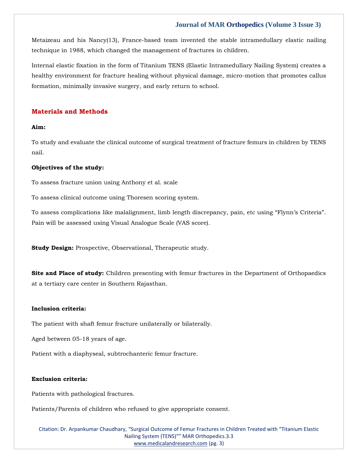Metaizeau and his Nancy(13), France-based team invented the stable intramedullary elastic nailing technique in 1988, which changed the management of fractures in children.

Internal elastic fixation in the form of Titanium TENS (Elastic Intramedullary Nailing System) creates a healthy environment for fracture healing without physical damage, micro-motion that promotes callus formation, minimally invasive surgery, and early return to school.

#### **Materials and Methods**

#### **Aim:**

To study and evaluate the clinical outcome of surgical treatment of fracture femurs in children by TENS nail.

#### **Objectives of the study:**

To assess fracture union using Anthony et al. scale

To assess clinical outcome using Thoresen scoring system.

To assess complications like malalignment, limb length discrepancy, pain, etc using "Flynn's Criteria". Pain will be assessed using Visual Analogue Scale (VAS score).

**Study Design:** Prospective, Observational, Therapeutic study.

**Site and Place of study:** Children presenting with femur fractures in the Department of Orthopaedics at a tertiary care center in Southern Rajasthan.

#### **Inclusion criteria:**

The patient with shaft femur fracture unilaterally or bilaterally.

Aged between 05-18 years of age.

Patient with a diaphyseal, subtrochanteric femur fracture.

#### **Exclusion criteria:**

Patients with pathological fractures.

Patients/Parents of children who refused to give appropriate consent.

Citation: Dr. Arpankumar Chaudhary, "Surgical Outcome of Femur Fractures in Children Treated with "Titanium Elastic Nailing System (TENS)"" MAR Orthopedics.3.3 [www.medicalandresearch.com](http://www.medicalandresearch.com/) (pg. 3)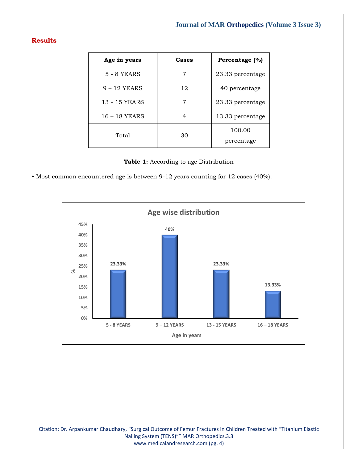# **Results**

| Age in years   | Cases | Percentage (%)   |
|----------------|-------|------------------|
| 5 - 8 YEARS    |       | 23.33 percentage |
| $9 - 12$ YEARS | 12    | 40 percentage    |
| 13 - 15 YEARS  |       | 23.33 percentage |
| 16 - 18 YEARS  |       | 13.33 percentage |
| Total          | 30    | 100.00           |
|                |       | percentage       |

|  |  |  |  | <b>Table 1:</b> According to age Distribution |
|--|--|--|--|-----------------------------------------------|
|--|--|--|--|-----------------------------------------------|

• Most common encountered age is between 9-12 years counting for 12 cases (40%).



Citation: Dr. Arpankumar Chaudhary, "Surgical Outcome of Femur Fractures in Children Treated with "Titanium Elastic Nailing System (TENS)"" MAR Orthopedics.3.3 [www.medicalandresearch.com](http://www.medicalandresearch.com/) (pg. 4)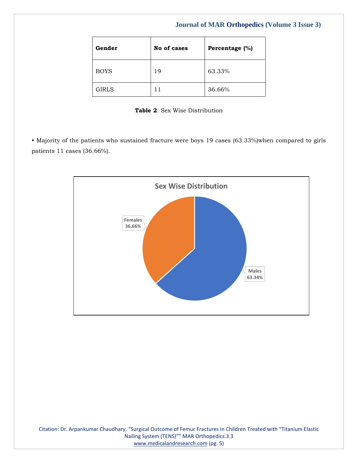| Gender       | No of cases | Percentage (%) |
|--------------|-------------|----------------|
| <b>BOYS</b>  | 19          | 63.33%         |
| <b>GIRLS</b> |             | 36.66%         |

**Table 2**: Sex Wise Distribution

• Majority of the patients who sustained fracture were boys 19 cases (63.33%)when compared to girls patients 11 cases (36.66%).

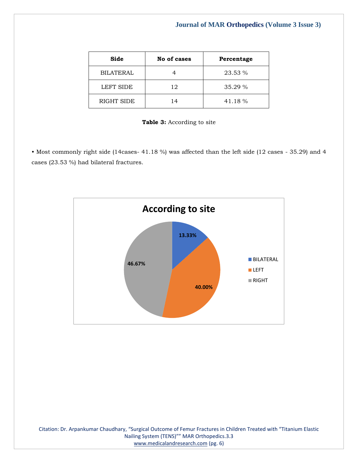| Side             | No of cases | Percentage |
|------------------|-------------|------------|
| <b>BILATERAL</b> |             | 23.53 %    |
| <b>LEFT SIDE</b> | 12          | 35.29 %    |
| RIGHT SIDE       | 14          | 41.18 %    |

|  |  | <b>Table 3:</b> According to site |  |  |
|--|--|-----------------------------------|--|--|
|--|--|-----------------------------------|--|--|

• Most commonly right side (14cases- 41.18 %) was affected than the left side (12 cases - 35.29) and 4 cases (23.53 %) had bilateral fractures.

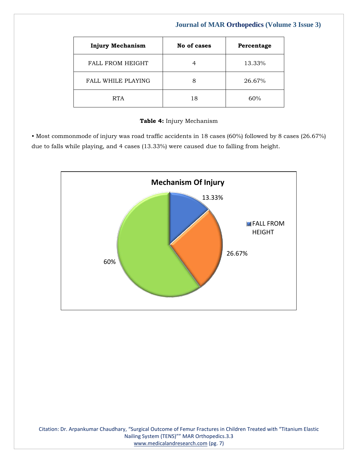| <b>Injury Mechanism</b>   | No of cases | Percentage |
|---------------------------|-------------|------------|
| <b>FALL FROM HEIGHT</b>   |             | 13.33%     |
| <b>FALL WHILE PLAYING</b> | 8           | 26.67%     |
| <b>RTA</b>                | 18          | 60%        |

### **Table 4:** Injury Mechanism

• Most commonmode of injury was road traffic accidents in 18 cases (60%) followed by 8 cases (26.67%) due to falls while playing, and 4 cases (13.33%) were caused due to falling from height.

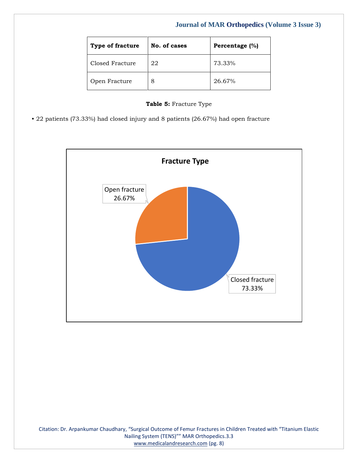| Type of fracture | No. of cases | Percentage (%) |
|------------------|--------------|----------------|
| Closed Fracture  | 22           | 73.33%         |
| Open Fracture    | 8            | 26.67%         |

|  |  | Table 5: Fracture Type |  |
|--|--|------------------------|--|
|--|--|------------------------|--|

• 22 patients (73.33%) had closed injury and 8 patients (26.67%) had open fracture

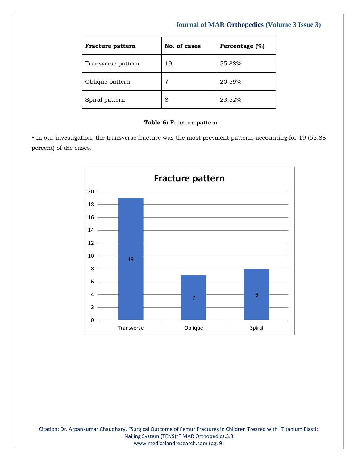| <b>Fracture pattern</b> | No. of cases | Percentage (%) |
|-------------------------|--------------|----------------|
| Transverse pattern      | 19           | 55.88%         |
| Oblique pattern         | 7            | 20.59%         |
| Spiral pattern          | 8            | 23.52%         |

#### **Table 6:** Fracture pattern

• In our investigation, the transverse fracture was the most prevalent pattern, accounting for 19 (55.88 percent) of the cases.

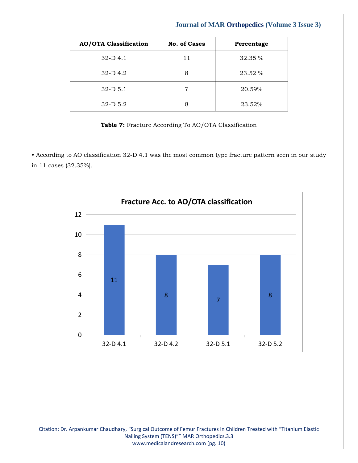| <b>AO/OTA Classification</b> | <b>No. of Cases</b> | Percentage |
|------------------------------|---------------------|------------|
| $32-D$ 4.1                   | 11                  | 32.35 %    |
| $32-D$ 4.2                   | 8                   | 23.52 %    |
| $32-D$ 5.1                   | 7                   | 20.59%     |
| $32-D$ 5.2                   |                     | 23.52%     |

**Table 7:** Fracture According To AO/OTA Classification

• According to AO classification 32-D 4.1 was the most common type fracture pattern seen in our study in 11 cases (32.35%).



Citation: Dr. Arpankumar Chaudhary, "Surgical Outcome of Femur Fractures in Children Treated with "Titanium Elastic Nailing System (TENS)"" MAR Orthopedics.3.3 [www.medicalandresearch.com](http://www.medicalandresearch.com/) (pg. 10)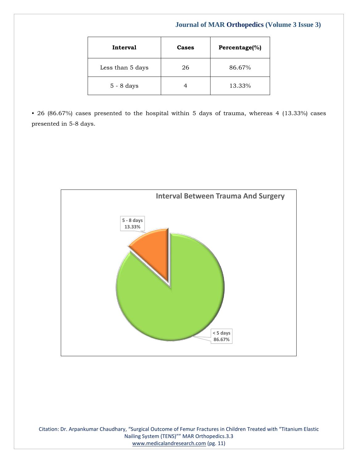| Interval         | Cases | Percentage(%) |
|------------------|-------|---------------|
| Less than 5 days | 26    | 86.67%        |
| $5 - 8$ days     |       | 13.33%        |

• 26 (86.67%) cases presented to the hospital within 5 days of trauma, whereas 4 (13.33%) cases presented in 5-8 days.

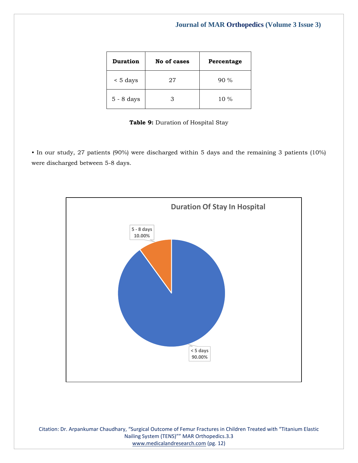| <b>Duration</b> | No of cases | Percentage |
|-----------------|-------------|------------|
| $\leq 5$ days   | 27          | $90\%$     |
| $5 - 8$ days    | З           | $10\%$     |

#### **Table 9:** Duration of Hospital Stay

• In our study, 27 patients (90%) were discharged within 5 days and the remaining 3 patients (10%) were discharged between 5-8 days.



Citation: Dr. Arpankumar Chaudhary, "Surgical Outcome of Femur Fractures in Children Treated with "Titanium Elastic Nailing System (TENS)"" MAR Orthopedics.3.3 [www.medicalandresearch.com](http://www.medicalandresearch.com/) (pg. 12)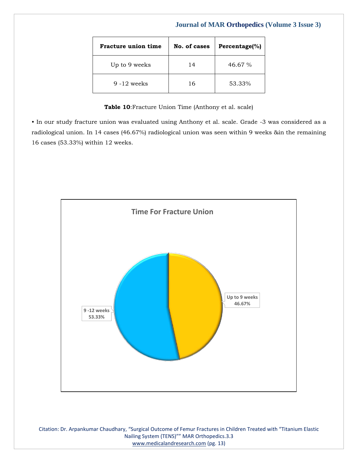| Fracture union time | No. of cases | Percentage(%) |
|---------------------|--------------|---------------|
| Up to 9 weeks       | 14           | 46.67%        |
| $9 - 12$ weeks      | 16           | 53.33%        |

**Table 10**:Fracture Union Time (Anthony et al. scale)

• In our study fracture union was evaluated using Anthony et al. scale. Grade -3 was considered as a radiological union. In 14 cases (46.67%) radiological union was seen within 9 weeks &in the remaining 16 cases (53.33%) within 12 weeks.



Citation: Dr. Arpankumar Chaudhary, "Surgical Outcome of Femur Fractures in Children Treated with "Titanium Elastic Nailing System (TENS)"" MAR Orthopedics.3.3 [www.medicalandresearch.com](http://www.medicalandresearch.com/) (pg. 13)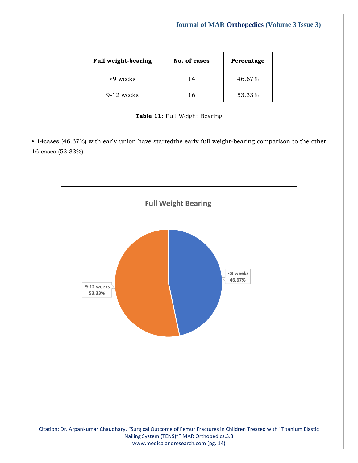| <b>Full weight-bearing</b> | No. of cases | Percentage |
|----------------------------|--------------|------------|
| <9 weeks                   | 14           | 46.67%     |
| $9-12$ weeks               | 16           | 53.33%     |

|  |  | Table 11: Full Weight Bearing |
|--|--|-------------------------------|
|  |  |                               |

• 14cases (46.67%) with early union have startedthe early full weight-bearing comparison to the other 16 cases (53.33%).



Citation: Dr. Arpankumar Chaudhary, "Surgical Outcome of Femur Fractures in Children Treated with "Titanium Elastic Nailing System (TENS)"" MAR Orthopedics.3.3 [www.medicalandresearch.com](http://www.medicalandresearch.com/) (pg. 14)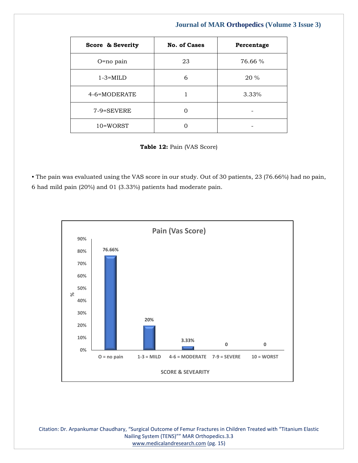| Score & Severity | <b>No. of Cases</b> | Percentage |
|------------------|---------------------|------------|
| $O = no$ pain    | 23                  | 76.66 %    |
| $1-3=MILD$       | 6                   | 20 %       |
| 4-6=MODERATE     |                     | 3.33%      |
| 7-9=SEVERE       | ( )                 |            |
| 10=WORST         |                     |            |

**Table 12:** Pain (VAS Score)

• The pain was evaluated using the VAS score in our study. Out of 30 patients, 23 (76.66%) had no pain, 6 had mild pain (20%) and 01 (3.33%) patients had moderate pain.



Citation: Dr. Arpankumar Chaudhary, "Surgical Outcome of Femur Fractures in Children Treated with "Titanium Elastic Nailing System (TENS)"" MAR Orthopedics.3.3 [www.medicalandresearch.com](http://www.medicalandresearch.com/) (pg. 15)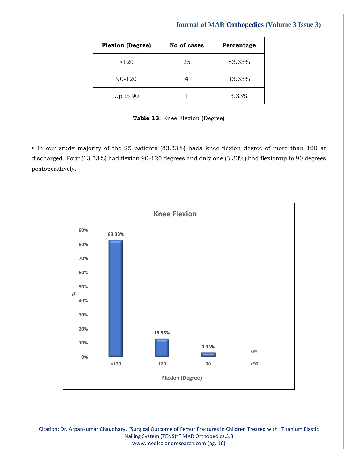| <b>Flexion (Degree)</b> | No of cases | Percentage |
|-------------------------|-------------|------------|
| >120                    | 25          | 83.33%     |
| 90-120                  |             | 13.33%     |
| Up to 90                |             | 3.33%      |

**Table 13:** Knee Flexion (Degree)

• In our study majority of the 25 patients (83.33%) hada knee flexion degree of more than 120 at discharged. Four (13.33%) had flexion 90-120 degrees and only one (3.33%) had flexionup to 90 degrees postoperatively.



Citation: Dr. Arpankumar Chaudhary, "Surgical Outcome of Femur Fractures in Children Treated with "Titanium Elastic Nailing System (TENS)"" MAR Orthopedics.3.3 [www.medicalandresearch.com](http://www.medicalandresearch.com/) (pg. 16)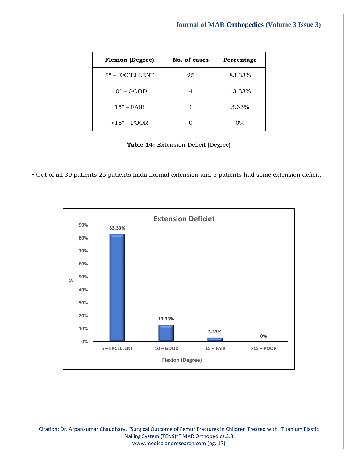| <b>Flexion (Degree)</b> | No. of cases | Percentage |
|-------------------------|--------------|------------|
| $5^\circ$ – EXCELLENT   | 25           | 83.33%     |
| $10^{\circ}$ – GOOD     |              | 13.33%     |
| $15^{\circ}$ – FAIR     |              | 3.33%      |
| $>15^{\circ}$ – POOR    |              | $0\%$      |

**Table 14:** Extension Deficit (Degree)

• Out of all 30 patients 25 patients hada normal extension and 5 patients had some extension deficit.



Citation: Dr. Arpankumar Chaudhary, "Surgical Outcome of Femur Fractures in Children Treated with "Titanium Elastic Nailing System (TENS)"" MAR Orthopedics.3.3 [www.medicalandresearch.com](http://www.medicalandresearch.com/) (pg. 17)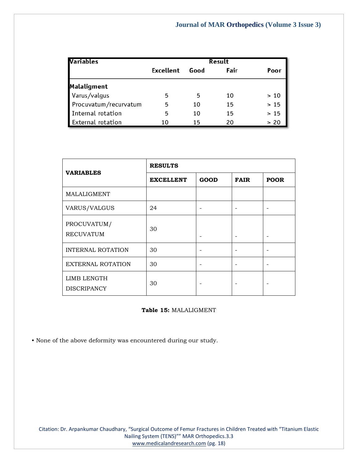| Variables                | Result    |      |      |      |
|--------------------------|-----------|------|------|------|
|                          | Excellent | Good | Fair | Poor |
| <b>Malaligment</b>       |           |      |      |      |
| Varus/valgus             |           | 5    | 10   | >10  |
| Procuvatum/recurvatum    |           | 10   | 15   | >15  |
| Internal rotation        |           | 10   | 15   | >15  |
| <b>External rotation</b> | 10        | 15   | 20   | > 20 |

|                                   | <b>RESULTS</b>   |             |             |             |
|-----------------------------------|------------------|-------------|-------------|-------------|
| <b>VARIABLES</b>                  | <b>EXCELLENT</b> | <b>GOOD</b> | <b>FAIR</b> | <b>POOR</b> |
| MALALIGMENT                       |                  |             |             |             |
| VARUS/VALGUS                      | 24               |             |             |             |
| PROCUVATUM/<br><b>RECUVATUM</b>   | 30               |             |             |             |
| <b>INTERNAL ROTATION</b>          | 30               |             |             |             |
| <b>EXTERNAL ROTATION</b>          | 30               |             |             |             |
| LIMB LENGTH<br><b>DISCRIPANCY</b> | 30               |             |             |             |

#### **Table 15:** MALALIGMENT

• None of the above deformity was encountered during our study.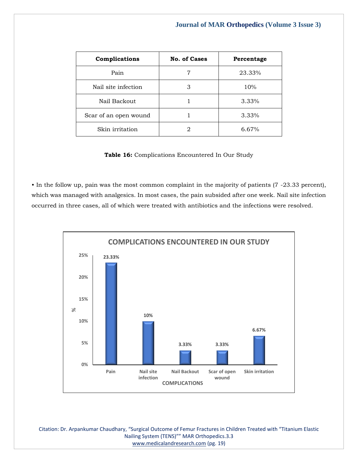| Complications         | <b>No. of Cases</b> | Percentage |
|-----------------------|---------------------|------------|
| Pain                  |                     | 23.33%     |
| Nail site infection   | З                   | 10%        |
| Nail Backout          |                     | 3.33%      |
| Scar of an open wound |                     | 3.33%      |
| Skin irritation       |                     | 6.67%      |

**Table 16:** Complications Encountered In Our Study

• In the follow up, pain was the most common complaint in the majority of patients (7 -23.33 percent), which was managed with analgesics. In most cases, the pain subsided after one week. Nail site infection occurred in three cases, all of which were treated with antibiotics and the infections were resolved.



Citation: Dr. Arpankumar Chaudhary, "Surgical Outcome of Femur Fractures in Children Treated with "Titanium Elastic Nailing System (TENS)"" MAR Orthopedics.3.3 [www.medicalandresearch.com](http://www.medicalandresearch.com/) (pg. 19)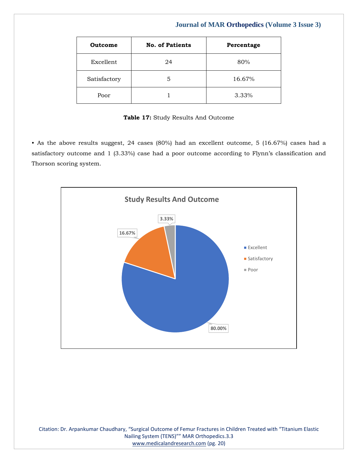| Outcome      | <b>No. of Patients</b> | Percentage |
|--------------|------------------------|------------|
| Excellent    | 24                     | 80%        |
| Satisfactory | 5                      | 16.67%     |
| Poor         |                        | 3.33%      |

**Table 17:** Study Results And Outcome

• As the above results suggest, 24 cases (80%) had an excellent outcome, 5 (16.67%) cases had a satisfactory outcome and 1 (3.33%) case had a poor outcome according to Flynn's classification and Thorson scoring system.

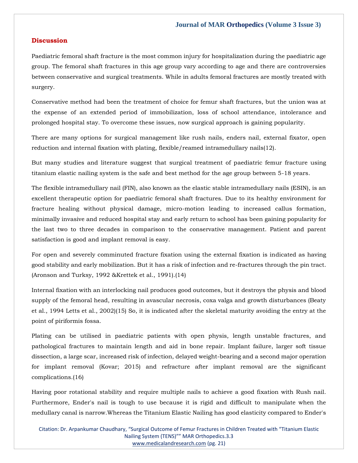#### **Discussion**

Paediatric femoral shaft fracture is the most common injury for hospitalization during the paediatric age group. The femoral shaft fractures in this age group vary according to age and there are controversies between conservative and surgical treatments. While in adults femoral fractures are mostly treated with surgery.

Conservative method had been the treatment of choice for femur shaft fractures, but the union was at the expense of an extended period of immobilization, loss of school attendance, intolerance and prolonged hospital stay. To overcome these issues, now surgical approach is gaining popularity.

There are many options for surgical management like rush nails, enders nail, external fixator, open reduction and internal fixation with plating, flexible/reamed intramedullary nails(12).

But many studies and literature suggest that surgical treatment of paediatric femur fracture using titanium elastic nailing system is the safe and best method for the age group between 5-18 years.

The flexible intramedullary nail (FIN), also known as the elastic stable intramedullary nails (ESIN), is an excellent therapeutic option for paediatric femoral shaft fractures. Due to its healthy environment for fracture healing without physical damage, micro-motion leading to increased callus formation, minimally invasive and reduced hospital stay and early return to school has been gaining popularity for the last two to three decades in comparison to the conservative management. Patient and parent satisfaction is good and implant removal is easy.

For open and severely comminuted fracture fixation using the external fixation is indicated as having good stability and early mobilization. But it has a risk of infection and re-fractures through the pin tract. (Aronson and Turksy, 1992 &Krettek et al., 1991).(14)

Internal fixation with an interlocking nail produces good outcomes, but it destroys the physis and blood supply of the femoral head, resulting in avascular necrosis, coxa valga and growth disturbances (Beaty et al., 1994 Letts et al., 2002)(15) So, it is indicated after the skeletal maturity avoiding the entry at the point of piriformis fossa.

Plating can be utilised in paediatric patients with open physis, length unstable fractures, and pathological fractures to maintain length and aid in bone repair. Implant failure, larger soft tissue dissection, a large scar, increased risk of infection, delayed weight-bearing and a second major operation for implant removal (Kovar; 2015) and refracture after implant removal are the significant complications.(16)

Having poor rotational stability and require multiple nails to achieve a good fixation with Rush nail. Furthermore, Ender's nail is tough to use because it is rigid and difficult to manipulate when the medullary canal is narrow.Whereas the Titanium Elastic Nailing has good elasticity compared to Ender's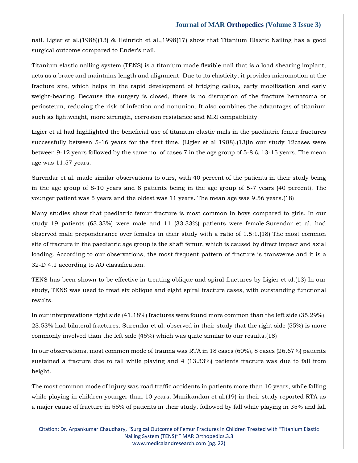nail. Ligier et al.(1988)(13) & Heinrich et al.,1998(17) show that Titanium Elastic Nailing has a good surgical outcome compared to Ender's nail.

Titanium elastic nailing system (TENS) is a titanium made flexible nail that is a load shearing implant, acts as a brace and maintains length and alignment. Due to its elasticity, it provides micromotion at the fracture site, which helps in the rapid development of bridging callus, early mobilization and early weight-bearing. Because the surgery is closed, there is no disruption of the fracture hematoma or periosteum, reducing the risk of infection and nonunion. It also combines the advantages of titanium such as lightweight, more strength, corrosion resistance and MRI compatibility.

Ligier et al had highlighted the beneficial use of titanium elastic nails in the paediatric femur fractures successfully between 5-16 years for the first time. (Ligier et al 1988).(13)In our study 12cases were between 9-12 years followed by the same no. of cases 7 in the age group of 5-8 & 13-15 years. The mean age was 11.57 years.

Surendar et al. made similar observations to ours, with 40 percent of the patients in their study being in the age group of 8-10 years and 8 patients being in the age group of 5-7 years (40 percent). The younger patient was 5 years and the oldest was 11 years. The mean age was 9.56 years.(18)

Many studies show that paediatric femur fracture is most common in boys compared to girls. In our study 19 patients (63.33%) were male and 11 (33.33%) patients were female.Surendar et al. had observed male preponderance over females in their study with a ratio of 1.5:1.(18) The most common site of fracture in the paediatric age group is the shaft femur, which is caused by direct impact and axial loading. According to our observations, the most frequent pattern of fracture is transverse and it is a 32-D 4.1 according to AO classification.

TENS has been shown to be effective in treating oblique and spiral fractures by Ligier et al.(13) In our study, TENS was used to treat six oblique and eight spiral fracture cases, with outstanding functional results.

In our interpretations right side (41.18%) fractures were found more common than the left side (35.29%). 23.53% had bilateral fractures. Surendar et al. observed in their study that the right side (55%) is more commonly involved than the left side (45%) which was quite similar to our results.(18)

In our observations, most common mode of trauma was RTA in 18 cases (60%), 8 cases (26.67%) patients sustained a fracture due to fall while playing and 4 (13.33%) patients fracture was due to fall from height.

The most common mode of injury was road traffic accidents in patients more than 10 years, while falling while playing in children younger than 10 years. Manikandan et al.(19) in their study reported RTA as a major cause of fracture in 55% of patients in their study, followed by fall while playing in 35% and fall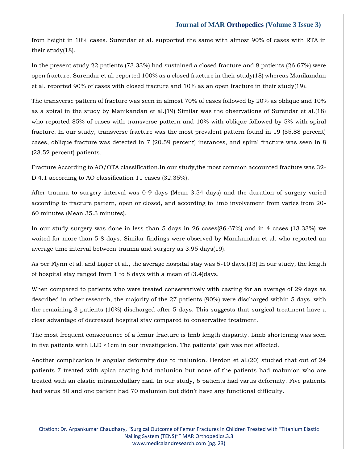from height in 10% cases. Surendar et al. supported the same with almost 90% of cases with RTA in their study(18).

In the present study 22 patients (73.33%) had sustained a closed fracture and 8 patients (26.67%) were open fracture. Surendar et al. reported 100% as a closed fracture in their study(18) whereas Manikandan et al. reported 90% of cases with closed fracture and 10% as an open fracture in their study(19).

The transverse pattern of fracture was seen in almost 70% of cases followed by 20% as oblique and 10% as a spiral in the study by Manikandan et al.(19) Similar was the observations of Surendar et al.(18) who reported 85% of cases with transverse pattern and 10% with oblique followed by 5% with spiral fracture. In our study, transverse fracture was the most prevalent pattern found in 19 (55.88 percent) cases, oblique fracture was detected in 7 (20.59 percent) instances, and spiral fracture was seen in 8 (23.52 percent) patients.

Fracture According to AO/OTA classification.In our study,the most common accounted fracture was 32- D 4.1 according to AO classification 11 cases (32.35%).

After trauma to surgery interval was 0-9 days (Mean 3.54 days) and the duration of surgery varied according to fracture pattern, open or closed, and according to limb involvement from varies from 20- 60 minutes (Mean 35.3 minutes).

In our study surgery was done in less than 5 days in 26 cases(86.67%) and in 4 cases (13.33%) we waited for more than 5-8 days. Similar findings were observed by Manikandan et al. who reported an average time interval between trauma and surgery as 3.95 days(19).

As per Flynn et al. and Ligier et al., the average hospital stay was 5-10 days.(13) In our study, the length of hospital stay ranged from 1 to 8 days with a mean of (3.4)days.

When compared to patients who were treated conservatively with casting for an average of 29 days as described in other research, the majority of the 27 patients (90%) were discharged within 5 days, with the remaining 3 patients (10%) discharged after 5 days. This suggests that surgical treatment have a clear advantage of decreased hospital stay compared to conservative treatment.

The most frequent consequence of a femur fracture is limb length disparity. Limb shortening was seen in five patients with LLD <1cm in our investigation. The patients' gait was not affected.

Another complication is angular deformity due to malunion. Herdon et al.(20) studied that out of 24 patients 7 treated with spica casting had malunion but none of the patients had malunion who are treated with an elastic intramedullary nail. In our study, 6 patients had varus deformity. Five patients had varus 50 and one patient had 70 malunion but didn't have any functional difficulty.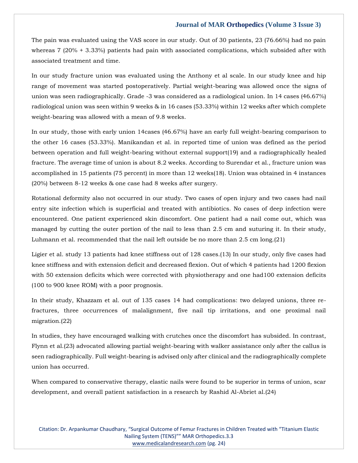The pain was evaluated using the VAS score in our study. Out of 30 patients, 23 (76.66%) had no pain whereas 7 (20% + 3.33%) patients had pain with associated complications, which subsided after with associated treatment and time.

In our study fracture union was evaluated using the Anthony et al scale. In our study knee and hip range of movement was started postoperatively. Partial weight-bearing was allowed once the signs of union was seen radiographically. Grade -3 was considered as a radiological union. In 14 cases (46.67%) radiological union was seen within 9 weeks & in 16 cases (53.33%) within 12 weeks after which complete weight-bearing was allowed with a mean of 9.8 weeks.

In our study, those with early union 14cases (46.67%) have an early full weight-bearing comparison to the other 16 cases (53.33%). Manikandan et al. in reported time of union was defined as the period between operation and full weight-bearing without external support(19) and a radiographically healed fracture. The average time of union is about 8.2 weeks. According to Surendar et al., fracture union was accomplished in 15 patients (75 percent) in more than 12 weeks(18). Union was obtained in 4 instances (20%) between 8-12 weeks & one case had 8 weeks after surgery.

Rotational deformity also not occurred in our study. Two cases of open injury and two cases had nail entry site infection which is superficial and treated with antibiotics. No cases of deep infection were encountered. One patient experienced skin discomfort. One patient had a nail come out, which was managed by cutting the outer portion of the nail to less than 2.5 cm and suturing it. In their study, Luhmann et al. recommended that the nail left outside be no more than 2.5 cm long.(21)

Ligier et al. study 13 patients had knee stiffness out of 128 cases.(13) In our study, only five cases had knee stiffness and with extension deficit and decreased flexion. Out of which 4 patients had 1200 flexion with 50 extension deficits which were corrected with physiotherapy and one had100 extension deficits (100 to 900 knee ROM) with a poor prognosis.

In their study, Khazzam et al. out of 135 cases 14 had complications: two delayed unions, three refractures, three occurrences of malalignment, five nail tip irritations, and one proximal nail migration.(22)

In studies, they have encouraged walking with crutches once the discomfort has subsided. In contrast, Flynn et al.(23) advocated allowing partial weight-bearing with walker assistance only after the callus is seen radiographically. Full weight-bearing is advised only after clinical and the radiographically complete union has occurred.

When compared to conservative therapy, elastic nails were found to be superior in terms of union, scar development, and overall patient satisfaction in a research by Rashid Al-Abriet al.(24)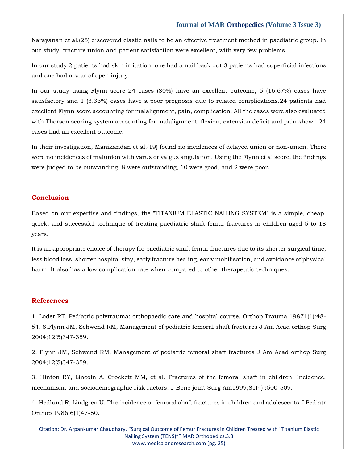Narayanan et al.(25) discovered elastic nails to be an effective treatment method in paediatric group. In our study, fracture union and patient satisfaction were excellent, with very few problems.

In our study 2 patients had skin irritation, one had a nail back out 3 patients had superficial infections and one had a scar of open injury.

In our study using Flynn score 24 cases (80%) have an excellent outcome, 5 (16.67%) cases have satisfactory and 1 (3.33%) cases have a poor prognosis due to related complications.24 patients had excellent Flynn score accounting for malalignment, pain, complication. All the cases were also evaluated with Thorson scoring system accounting for malalignment, flexion, extension deficit and pain shown 24 cases had an excellent outcome.

In their investigation, Manikandan et al.(19) found no incidences of delayed union or non-union. There were no incidences of malunion with varus or valgus angulation. Using the Flynn et al score, the findings were judged to be outstanding. 8 were outstanding, 10 were good, and 2 were poor.

#### **Conclusion**

Based on our expertise and findings, the "TITANIUM ELASTIC NAILING SYSTEM" is a simple, cheap, quick, and successful technique of treating paediatric shaft femur fractures in children aged 5 to 18 years.

It is an appropriate choice of therapy for paediatric shaft femur fractures due to its shorter surgical time, less blood loss, shorter hospital stay, early fracture healing, early mobilisation, and avoidance of physical harm. It also has a low complication rate when compared to other therapeutic techniques.

#### **References**

1. [Loder RT. Pediatric polytrauma: orthopaedic care and hospital course. Orthop Trauma 19871\(1\):48-](https://www.google.com/search?q=Pediatric+polytrauma%3A+orthopaedic+care+and+hospital+course.&oq=Pediatric+polytrauma%3A+orthopaedic+care+and+hospital+course.&aqs=chrome..69i57j35i39i362l8.471j0j7&sourceid=chrome&ie=UTF-8) [54. 8.Flynn JM, Schwend RM, Management of pediatric femoral shaft fractures J Am Acad orthop Surg](https://www.google.com/search?q=Pediatric+polytrauma%3A+orthopaedic+care+and+hospital+course.&oq=Pediatric+polytrauma%3A+orthopaedic+care+and+hospital+course.&aqs=chrome..69i57j35i39i362l8.471j0j7&sourceid=chrome&ie=UTF-8)  [2004;12\(5\)347-359.](https://www.google.com/search?q=Pediatric+polytrauma%3A+orthopaedic+care+and+hospital+course.&oq=Pediatric+polytrauma%3A+orthopaedic+care+and+hospital+course.&aqs=chrome..69i57j35i39i362l8.471j0j7&sourceid=chrome&ie=UTF-8)

2. [Flynn JM, Schwend RM, Management of pediatric femoral shaft fractures J Am Acad orthop Surg](https://www.google.com/search?q=Management+of+pediatric+femoral+shaft+fractures+&sxsrf=APq-WBvtq7zm6Diaa2fAGKYYNj-EFwYrMA%3A1649235121853&ei=sVRNYqXKM6DE4-EPopqq6AI&ved=0ahUKEwjl5trMh__2AhUg4jgGHSKNCi0Q4dUDCA4&oq=Management+of+pediatric+femoral+shaft+fractures+&gs_lcp=Cgdnd3Mtd2l6EAwyBggAEBYQHjoHCCMQ6gIQJ0oECEEYAEoECEYYAFAlWCVgowVoAXABeACAAdACiAHQApIBAzMtMZgBAKABAaABArABCsABAQ&sclient=gws-wiz)  [2004;12\(5\)347-359.](https://www.google.com/search?q=Management+of+pediatric+femoral+shaft+fractures+&sxsrf=APq-WBvtq7zm6Diaa2fAGKYYNj-EFwYrMA%3A1649235121853&ei=sVRNYqXKM6DE4-EPopqq6AI&ved=0ahUKEwjl5trMh__2AhUg4jgGHSKNCi0Q4dUDCA4&oq=Management+of+pediatric+femoral+shaft+fractures+&gs_lcp=Cgdnd3Mtd2l6EAwyBggAEBYQHjoHCCMQ6gIQJ0oECEEYAEoECEYYAFAlWCVgowVoAXABeACAAdACiAHQApIBAzMtMZgBAKABAaABArABCsABAQ&sclient=gws-wiz)

3. [Hinton RY, Lincoln A, Crockett MM, et al. Fractures of the femoral shaft in children. Incidence,](https://www.google.com/search?q=Fractures+of+the+femoral+shaft+in+children&sxsrf=APq-WBssSQhSgh_bD_fb8T_NTKkhQWgT4w%3A1649235144152&ei=yFRNYrz3CIyX4-EPt7KHiAU&ved=0ahUKEwi8-6vXh__2AhWMyzgGHTfZAVEQ4dUDCA4&oq=Fractures+of+the+femoral+shaft+in+children&gs_lcp=Cgdnd3Mtd2l6EAw6BwgjEOoCECdKBAhBGABKBAhGGABQjANYjANg3wZoAXABeACAAZgBiAGYAZIBAzAuMZgBAKABAaABArABCsABAQ&sclient=gws-wiz)  [mechanism, and sociodemographic risk ractors. J Bone joint Surg Am1999;81\(4\) :500-509.](https://www.google.com/search?q=Fractures+of+the+femoral+shaft+in+children&sxsrf=APq-WBssSQhSgh_bD_fb8T_NTKkhQWgT4w%3A1649235144152&ei=yFRNYrz3CIyX4-EPt7KHiAU&ved=0ahUKEwi8-6vXh__2AhWMyzgGHTfZAVEQ4dUDCA4&oq=Fractures+of+the+femoral+shaft+in+children&gs_lcp=Cgdnd3Mtd2l6EAw6BwgjEOoCECdKBAhBGABKBAhGGABQjANYjANg3wZoAXABeACAAZgBiAGYAZIBAzAuMZgBAKABAaABArABCsABAQ&sclient=gws-wiz) 

4. [Hedlund R, Lindgren U. The incidence or femoral shaft fractures in children and adolescents J Pediatr](https://www.google.com/search?q=The+incidence+or+femoral+shaft+fractures+in+children+and+adolescents+&sxsrf=APq-WBun_rkWhLdQiRW4DIXzFbyqU5bUMw%3A1649235160139&ei=2FRNYrCSCMmN4-EP1JOU0Ak&ved=0ahUKEwiw3vveh__2AhXJxjgGHdQJBZoQ4dUDCA4&oq=The+incidence+or+femoral+shaft+fractures+in+children+and+adolescents+&gs_lcp=Cgdnd3Mtd2l6EAw6BwgjEOoCECdKBAhBGABKBAhGGABQZlhmYMoFaAFwAXgAgAGUAYgBlAGSAQMwLjGYAQCgAQGgAQKwAQrAAQE&sclient=gws-wiz)  [Orthop 1986;6\(1\)47-50.](https://www.google.com/search?q=The+incidence+or+femoral+shaft+fractures+in+children+and+adolescents+&sxsrf=APq-WBun_rkWhLdQiRW4DIXzFbyqU5bUMw%3A1649235160139&ei=2FRNYrCSCMmN4-EP1JOU0Ak&ved=0ahUKEwiw3vveh__2AhXJxjgGHdQJBZoQ4dUDCA4&oq=The+incidence+or+femoral+shaft+fractures+in+children+and+adolescents+&gs_lcp=Cgdnd3Mtd2l6EAw6BwgjEOoCECdKBAhBGABKBAhGGABQZlhmYMoFaAFwAXgAgAGUAYgBlAGSAQMwLjGYAQCgAQGgAQKwAQrAAQE&sclient=gws-wiz) 

Citation: Dr. Arpankumar Chaudhary, "Surgical Outcome of Femur Fractures in Children Treated with "Titanium Elastic Nailing System (TENS)"" MAR Orthopedics.3.3 [www.medicalandresearch.com](http://www.medicalandresearch.com/) (pg. 25)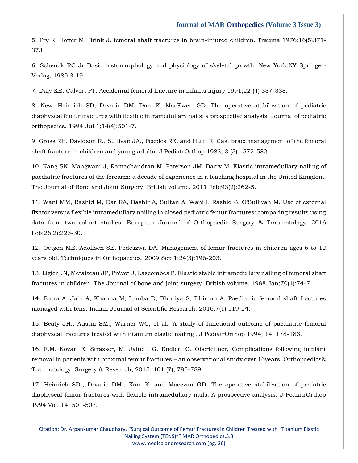5. [Fry K, Hoffer M, Brink J. femoral shaft fractures in brain-injured children. Trauma 1976;16\(5\)371-](https://www.google.com/search?q=femoral+shaft+fractures+in+brain-injured+children&sxsrf=APq-WBsUX9MRNGfv69agU_ipYf2TnAvvmQ%3A1649235263909&ei=P1VNYqSAN9qP4-EPkJmU-AM&ved=0ahUKEwjkm7mQiP_2AhXaxzgGHZAMBT8Q4dUDCA4&oq=femoral+shaft+fractures+in+brain-injured+children&gs_lcp=Cgdnd3Mtd2l6EAw6BwgjEOoCECdKBAhBGABKBAhGGABQtwFYtwFg-QVoAXABeACAAZgBiAGYAZIBAzAuMZgBAKABAaABArABCsABAQ&sclient=gws-wiz) [373.](https://www.google.com/search?q=femoral+shaft+fractures+in+brain-injured+children&sxsrf=APq-WBsUX9MRNGfv69agU_ipYf2TnAvvmQ%3A1649235263909&ei=P1VNYqSAN9qP4-EPkJmU-AM&ved=0ahUKEwjkm7mQiP_2AhXaxzgGHZAMBT8Q4dUDCA4&oq=femoral+shaft+fractures+in+brain-injured+children&gs_lcp=Cgdnd3Mtd2l6EAw6BwgjEOoCECdKBAhBGABKBAhGGABQtwFYtwFg-QVoAXABeACAAZgBiAGYAZIBAzAuMZgBAKABAaABArABCsABAQ&sclient=gws-wiz)

6. [Schenck RC Jr Basic histomorphology and physiology of skeletal growth. New York:NY Springer-](https://www.google.com/search?q=Basic+histomorphology+and+physiology+of+skeletal+growth&sxsrf=APq-WBtISjKV6if5idlEJO_QN-dKV_83Ag%3A1649235328255&ei=gFVNYuegD-KM4-EPyPixqAQ&ved=0ahUKEwjn4JCviP_2AhVixjgGHUh8DEUQ4dUDCA4&oq=Basic+histomorphology+and+physiology+of+skeletal+growth&gs_lcp=Cgdnd3Mtd2l6EAw6BwgjEOoCECdKBAhBGABKBAhGGABQ9wFY9wFgqQdoAXAAeACAAa8CiAGvApIBAzMtMZgBAKABAaABArABCsABAQ&sclient=gws-wiz)[Verlag, 1980:3-19.](https://www.google.com/search?q=Basic+histomorphology+and+physiology+of+skeletal+growth&sxsrf=APq-WBtISjKV6if5idlEJO_QN-dKV_83Ag%3A1649235328255&ei=gFVNYuegD-KM4-EPyPixqAQ&ved=0ahUKEwjn4JCviP_2AhVixjgGHUh8DEUQ4dUDCA4&oq=Basic+histomorphology+and+physiology+of+skeletal+growth&gs_lcp=Cgdnd3Mtd2l6EAw6BwgjEOoCECdKBAhBGABKBAhGGABQ9wFY9wFgqQdoAXAAeACAAa8CiAGvApIBAzMtMZgBAKABAaABArABCsABAQ&sclient=gws-wiz) 

7. [Daly KE, Calvert PT. Accidenral femoral fracture in infants injury 1991;22 \(4\) 337-338.](https://www.google.com/search?q=Accidenral+femoral+fracture+in+infants+injury+&sxsrf=APq-WBufPNjds3TY2VPjlYIuyUx3q-OHVQ%3A1649235393423&ei=wVVNYsC2GeSf4-EP3bKjiA8&ved=0ahUKEwiAm5rOiP_2AhXkzzgGHV3ZCPEQ4dUDCA4&oq=Accidenral+femoral+fracture+in+infants+injury+&gs_lcp=Cgdnd3Mtd2l6EAwyCAghEBYQHRAeOgcIIxDqAhAnSgQIQRgASgQIRhgAUJYDWJYDYNEGaAFwAXgAgAGkAYgBpAGSAQMwLjGYAQCgAQGgAQKwAQrAAQE&sclient=gws-wiz)

8. [New. Heinrich SD, Drvaric DM, Darr K, MacEwen GD. The operative stabilization of pediatric](https://www.google.com/search?q=The+operative+stabilization+of+pediatric+diaphyseal+femur+fractures+with+flexible+intramedullary+nails%3A+a+prospective+analysis&sxsrf=APq-WBv5Ofysu3Eg591VVoPItxFe0yALag%3A1649235407526&ei=z1VNYovWH6DE4-EPopqq6AI&ved=0ahUKEwjL-fbUiP_2AhUg4jgGHSKNCi0Q4dUDCA4&oq=The+operative+stabilization+of+pediatric+diaphyseal+femur+fractures+with+flexible+intramedullary+nails%3A+a+prospective+analysis&gs_lcp=Cgdnd3Mtd2l6EAwyBwgjEOoCECcyBwgjEOoCECcyBwgjEOoCECcyBwgjEOoCECcyBwgjEOoCECcyBwgjEOoCECcyBwgjEOoCECcyBwgjEOoCECcyBwgjEOoCECcyBwgjEOoCECdKBAhBGABKBAhGGABQgQNYgQNgqQdoAXABeACAAQCIAQCSAQCYAQCgAQGgAQKwAQrAAQE&sclient=gws-wiz)  [diaphyseal femur fractures with flexible intramedullary nails: a prospective analysis. Journal of pediatric](https://www.google.com/search?q=The+operative+stabilization+of+pediatric+diaphyseal+femur+fractures+with+flexible+intramedullary+nails%3A+a+prospective+analysis&sxsrf=APq-WBv5Ofysu3Eg591VVoPItxFe0yALag%3A1649235407526&ei=z1VNYovWH6DE4-EPopqq6AI&ved=0ahUKEwjL-fbUiP_2AhUg4jgGHSKNCi0Q4dUDCA4&oq=The+operative+stabilization+of+pediatric+diaphyseal+femur+fractures+with+flexible+intramedullary+nails%3A+a+prospective+analysis&gs_lcp=Cgdnd3Mtd2l6EAwyBwgjEOoCECcyBwgjEOoCECcyBwgjEOoCECcyBwgjEOoCECcyBwgjEOoCECcyBwgjEOoCECcyBwgjEOoCECcyBwgjEOoCECcyBwgjEOoCECcyBwgjEOoCECdKBAhBGABKBAhGGABQgQNYgQNgqQdoAXABeACAAQCIAQCSAQCYAQCgAQGgAQKwAQrAAQE&sclient=gws-wiz)  [orthopedics. 1994 Jul 1;14\(4\):501-7.](https://www.google.com/search?q=The+operative+stabilization+of+pediatric+diaphyseal+femur+fractures+with+flexible+intramedullary+nails%3A+a+prospective+analysis&sxsrf=APq-WBv5Ofysu3Eg591VVoPItxFe0yALag%3A1649235407526&ei=z1VNYovWH6DE4-EPopqq6AI&ved=0ahUKEwjL-fbUiP_2AhUg4jgGHSKNCi0Q4dUDCA4&oq=The+operative+stabilization+of+pediatric+diaphyseal+femur+fractures+with+flexible+intramedullary+nails%3A+a+prospective+analysis&gs_lcp=Cgdnd3Mtd2l6EAwyBwgjEOoCECcyBwgjEOoCECcyBwgjEOoCECcyBwgjEOoCECcyBwgjEOoCECcyBwgjEOoCECcyBwgjEOoCECcyBwgjEOoCECcyBwgjEOoCECcyBwgjEOoCECdKBAhBGABKBAhGGABQgQNYgQNgqQdoAXABeACAAQCIAQCSAQCYAQCgAQGgAQKwAQrAAQE&sclient=gws-wiz)

9. [Gross RH, Davidson R., Sullivan JA., Peeples RE. and Hufft R. Cast brace management of the femoral](https://www.google.com/search?q=Cast+brace+management+of+the+femoral+shaft+fracture+in+children+and+young+adults.+&sxsrf=APq-WBuSvyfmVhWFbQpHxmaLPsu7sO_qJg%3A1649235421367&ei=3VVNYsSEFqvE4-EPqdGaeA&ved=0ahUKEwiE58PbiP_2AhUr4jgGHamoBg8Q4dUDCA4&oq=Cast+brace+management+of+the+femoral+shaft+fracture+in+children+and+young+adults.+&gs_lcp=Cgdnd3Mtd2l6EAw6BwgjEOoCECdKBAhBGABKBAhGGABQnANYnANglwZoAXAAeACAAasBiAGrAZIBAzAuMZgBAKABAaABArABCsABAQ&sclient=gws-wiz)  [shaft fracture in children and young adults. J PediatrOrthop 1983; 3 \(5\) : 572-582.](https://www.google.com/search?q=Cast+brace+management+of+the+femoral+shaft+fracture+in+children+and+young+adults.+&sxsrf=APq-WBuSvyfmVhWFbQpHxmaLPsu7sO_qJg%3A1649235421367&ei=3VVNYsSEFqvE4-EPqdGaeA&ved=0ahUKEwiE58PbiP_2AhUr4jgGHamoBg8Q4dUDCA4&oq=Cast+brace+management+of+the+femoral+shaft+fracture+in+children+and+young+adults.+&gs_lcp=Cgdnd3Mtd2l6EAw6BwgjEOoCECdKBAhBGABKBAhGGABQnANYnANglwZoAXAAeACAAasBiAGrAZIBAzAuMZgBAKABAaABArABCsABAQ&sclient=gws-wiz)

10. [Kang SN, Mangwani J, Ramachandran M, Paterson JM, Barry M. Elastic intramedullary nailing of](https://www.google.com/search?q=Elastic+intramedullary+nailing+of+paediatric+fractures+of+the+forearm%3A+a+decade+of+experience+in+a+teaching+hospital+in+the+United+Kingdom.+&sxsrf=APq-WBt5HXq-VdizIBe1ryFp9O2Nlbe83A%3A1649235442208&ei=8lVNYraoDMSF4-EPmKyEgA8&ved=0ahUKEwi26bvliP_2AhXEwjgGHRgWAfAQ4dUDCA4&oq=Elastic+intramedullary+nailing+of+paediatric+fractures+of+the+forearm%3A+a+decade+of+experience+in+a+teaching+hospital+in+the+United+Kingdom.+&gs_lcp=Cgdnd3Mtd2l6EAwyBwgjEOoCECcyBwgjEOoCECcyBwgjEOoCECcyBwgjEOoCECcyBwgjEOoCECcyBwgjEOoCECcyBwgjEOoCECcyBwgjEOoCECcyBwgjEOoCECcyBwgjEOoCECdKBAhBGABKBAhGGABQhgNYhgNg8AZoAXAAeACAAQCIAQCSAQCYAQCgAQGgAQKwAQrAAQE&sclient=gws-wiz)  [paediatric fractures of the forearm: a decade of experience in a teaching hospital in the United Kingdom.](https://www.google.com/search?q=Elastic+intramedullary+nailing+of+paediatric+fractures+of+the+forearm%3A+a+decade+of+experience+in+a+teaching+hospital+in+the+United+Kingdom.+&sxsrf=APq-WBt5HXq-VdizIBe1ryFp9O2Nlbe83A%3A1649235442208&ei=8lVNYraoDMSF4-EPmKyEgA8&ved=0ahUKEwi26bvliP_2AhXEwjgGHRgWAfAQ4dUDCA4&oq=Elastic+intramedullary+nailing+of+paediatric+fractures+of+the+forearm%3A+a+decade+of+experience+in+a+teaching+hospital+in+the+United+Kingdom.+&gs_lcp=Cgdnd3Mtd2l6EAwyBwgjEOoCECcyBwgjEOoCECcyBwgjEOoCECcyBwgjEOoCECcyBwgjEOoCECcyBwgjEOoCECcyBwgjEOoCECcyBwgjEOoCECcyBwgjEOoCECcyBwgjEOoCECdKBAhBGABKBAhGGABQhgNYhgNg8AZoAXAAeACAAQCIAQCSAQCYAQCgAQGgAQKwAQrAAQE&sclient=gws-wiz)  [The Journal of Bone and Joint Surgery. British volume. 2011 Feb;93\(2\):262-5.](https://www.google.com/search?q=Elastic+intramedullary+nailing+of+paediatric+fractures+of+the+forearm%3A+a+decade+of+experience+in+a+teaching+hospital+in+the+United+Kingdom.+&sxsrf=APq-WBt5HXq-VdizIBe1ryFp9O2Nlbe83A%3A1649235442208&ei=8lVNYraoDMSF4-EPmKyEgA8&ved=0ahUKEwi26bvliP_2AhXEwjgGHRgWAfAQ4dUDCA4&oq=Elastic+intramedullary+nailing+of+paediatric+fractures+of+the+forearm%3A+a+decade+of+experience+in+a+teaching+hospital+in+the+United+Kingdom.+&gs_lcp=Cgdnd3Mtd2l6EAwyBwgjEOoCECcyBwgjEOoCECcyBwgjEOoCECcyBwgjEOoCECcyBwgjEOoCECcyBwgjEOoCECcyBwgjEOoCECcyBwgjEOoCECcyBwgjEOoCECcyBwgjEOoCECdKBAhBGABKBAhGGABQhgNYhgNg8AZoAXAAeACAAQCIAQCSAQCYAQCgAQGgAQKwAQrAAQE&sclient=gws-wiz)

11. Wani MM, Rashid M, Dar RA, Bashir A, Su[ltan A, Wani I, Rashid S, O'Sullivan M. Use of external](https://www.google.com/search?q=Use+of+external+fixator+versus+flexible+intramedullary+nailing+in+closed+pediatric+femur+fractures%3A+comparing+results+using+data+from+two+cohort+studies.+&sxsrf=APq-WBsYLdGlYZcj7Go-dpxs74g4fnXehA%3A1649235457394&ei=AVZNYrPDF4Sf4-EP1p2gkAM&ved=0ahUKEwjzx9rsiP_2AhWEzzgGHdYOCDIQ4dUDCA4&oq=Use+of+external+fixator+versus+flexible+intramedullary+nailing+in+closed+pediatric+femur+fractures%3A+comparing+results+using+data+from+two+cohort+studies.+&gs_lcp=Cgdnd3Mtd2l6EAwyBwgjEOoCECcyBwgjEOoCECcyBwgjEOoCECcyBwgjEOoCECcyBwgjEOoCECcyBwgjEOoCECcyBwgjEOoCECcyBwgjEOoCECcyBwgjEOoCECcyBwgjEOoCECdKBAhBGABKBAhGGABQrARYrARg8AdoAXAAeACAAQCIAQCSAQCYAQCgAQGgAQKwAQrAAQE&sclient=gws-wiz)  [fixator versus flexible intramedullary nailing in closed pediatric femur fractures: comparing results using](https://www.google.com/search?q=Use+of+external+fixator+versus+flexible+intramedullary+nailing+in+closed+pediatric+femur+fractures%3A+comparing+results+using+data+from+two+cohort+studies.+&sxsrf=APq-WBsYLdGlYZcj7Go-dpxs74g4fnXehA%3A1649235457394&ei=AVZNYrPDF4Sf4-EP1p2gkAM&ved=0ahUKEwjzx9rsiP_2AhWEzzgGHdYOCDIQ4dUDCA4&oq=Use+of+external+fixator+versus+flexible+intramedullary+nailing+in+closed+pediatric+femur+fractures%3A+comparing+results+using+data+from+two+cohort+studies.+&gs_lcp=Cgdnd3Mtd2l6EAwyBwgjEOoCECcyBwgjEOoCECcyBwgjEOoCECcyBwgjEOoCECcyBwgjEOoCECcyBwgjEOoCECcyBwgjEOoCECcyBwgjEOoCECcyBwgjEOoCECcyBwgjEOoCECdKBAhBGABKBAhGGABQrARYrARg8AdoAXAAeACAAQCIAQCSAQCYAQCgAQGgAQKwAQrAAQE&sclient=gws-wiz)  [data from two cohort studies. European Journal of Orthopaedic Surgery & Traumatology. 2016](https://www.google.com/search?q=Use+of+external+fixator+versus+flexible+intramedullary+nailing+in+closed+pediatric+femur+fractures%3A+comparing+results+using+data+from+two+cohort+studies.+&sxsrf=APq-WBsYLdGlYZcj7Go-dpxs74g4fnXehA%3A1649235457394&ei=AVZNYrPDF4Sf4-EP1p2gkAM&ved=0ahUKEwjzx9rsiP_2AhWEzzgGHdYOCDIQ4dUDCA4&oq=Use+of+external+fixator+versus+flexible+intramedullary+nailing+in+closed+pediatric+femur+fractures%3A+comparing+results+using+data+from+two+cohort+studies.+&gs_lcp=Cgdnd3Mtd2l6EAwyBwgjEOoCECcyBwgjEOoCECcyBwgjEOoCECcyBwgjEOoCECcyBwgjEOoCECcyBwgjEOoCECcyBwgjEOoCECcyBwgjEOoCECcyBwgjEOoCECcyBwgjEOoCECdKBAhBGABKBAhGGABQrARYrARg8AdoAXAAeACAAQCIAQCSAQCYAQCgAQGgAQKwAQrAAQE&sclient=gws-wiz)  [Feb;26\(2\):223-30.](https://www.google.com/search?q=Use+of+external+fixator+versus+flexible+intramedullary+nailing+in+closed+pediatric+femur+fractures%3A+comparing+results+using+data+from+two+cohort+studies.+&sxsrf=APq-WBsYLdGlYZcj7Go-dpxs74g4fnXehA%3A1649235457394&ei=AVZNYrPDF4Sf4-EP1p2gkAM&ved=0ahUKEwjzx9rsiP_2AhWEzzgGHdYOCDIQ4dUDCA4&oq=Use+of+external+fixator+versus+flexible+intramedullary+nailing+in+closed+pediatric+femur+fractures%3A+comparing+results+using+data+from+two+cohort+studies.+&gs_lcp=Cgdnd3Mtd2l6EAwyBwgjEOoCECcyBwgjEOoCECcyBwgjEOoCECcyBwgjEOoCECcyBwgjEOoCECcyBwgjEOoCECcyBwgjEOoCECcyBwgjEOoCECcyBwgjEOoCECcyBwgjEOoCECdKBAhBGABKBAhGGABQrARYrARg8AdoAXAAeACAAQCIAQCSAQCYAQCgAQGgAQKwAQrAAQE&sclient=gws-wiz)

12. [Oetgen ME, Adolfsen SE, Podeszwa DA. Management of femur fractures in children ages 6 to 12](https://www.google.com/search?q=Management+of+femur+fractures+in+children+ages+6+to+12+years+old.+&sxsrf=APq-WBt7FGnjh6ovyEvvC13YVzJ6wwMP0g%3A1649235471788&ei=D1ZNYunML4eE4-EP8-iKyA4&ved=0ahUKEwipkMnziP_2AhUHwjgGHXO0AukQ4dUDCA4&oq=Management+of+femur+fractures+in+children+ages+6+to+12+years+old.+&gs_lcp=Cgdnd3Mtd2l6EAw6BwgjEOoCECdKBAhBGABKBAhGGABQqQNYqQNg_AZoAXAAeACAAZ4BiAGeAZIBAzAuMZgBAKABAaABArABCsABAQ&sclient=gws-wiz)  [years old. Techniques in Orthopaedics. 2009 Sep 1;24\(3\):196-203.](https://www.google.com/search?q=Management+of+femur+fractures+in+children+ages+6+to+12+years+old.+&sxsrf=APq-WBt7FGnjh6ovyEvvC13YVzJ6wwMP0g%3A1649235471788&ei=D1ZNYunML4eE4-EP8-iKyA4&ved=0ahUKEwipkMnziP_2AhUHwjgGHXO0AukQ4dUDCA4&oq=Management+of+femur+fractures+in+children+ages+6+to+12+years+old.+&gs_lcp=Cgdnd3Mtd2l6EAw6BwgjEOoCECdKBAhBGABKBAhGGABQqQNYqQNg_AZoAXAAeACAAZ4BiAGeAZIBAzAuMZgBAKABAaABArABCsABAQ&sclient=gws-wiz)

13. [Ligier JN, Metaizeau JP, Prévot J, Lascombes P. Elastic stable intramedullary nailing of femoral shaft](https://www.google.com/search?q=Elastic+stable+intramedullary+nailing+of+femoral+shaft+fractures+in+children&sxsrf=APq-WBsrkIsd7kIpSaq-2EX3EGhIxiFhuA%3A1649235497767&ei=KVZNYuC-LuKM4-EPyPixqAQ&ved=0ahUKEwig9_r_iP_2AhVixjgGHUh8DEUQ4dUDCA4&oq=Elastic+stable+intramedullary+nailing+of+femoral+shaft+fractures+in+children&gs_lcp=Cgdnd3Mtd2l6EAwyBwgjEOoCECcyBwgjEOoCECcyBwgjEOoCECcyBwgjEOoCECcyBwgjEOoCECcyBwgjEOoCECcyBwgjEOoCECcyBwgjEOoCECcyBwgjEOoCECcyBwgjEOoCECdKBAhBGABKBAhGGABQ6gNY6gNgmAhoAXABeACAAQCIAQCSAQCYAQCgAQGgAQKwAQrAAQE&sclient=gws-wiz)  [fractures in children. The Journal of bone and joint surgery. British volume. 1988 Jan;70\(1\):74-7.](https://www.google.com/search?q=Elastic+stable+intramedullary+nailing+of+femoral+shaft+fractures+in+children&sxsrf=APq-WBsrkIsd7kIpSaq-2EX3EGhIxiFhuA%3A1649235497767&ei=KVZNYuC-LuKM4-EPyPixqAQ&ved=0ahUKEwig9_r_iP_2AhVixjgGHUh8DEUQ4dUDCA4&oq=Elastic+stable+intramedullary+nailing+of+femoral+shaft+fractures+in+children&gs_lcp=Cgdnd3Mtd2l6EAwyBwgjEOoCECcyBwgjEOoCECcyBwgjEOoCECcyBwgjEOoCECcyBwgjEOoCECcyBwgjEOoCECcyBwgjEOoCECcyBwgjEOoCECcyBwgjEOoCECcyBwgjEOoCECdKBAhBGABKBAhGGABQ6gNY6gNgmAhoAXABeACAAQCIAQCSAQCYAQCgAQGgAQKwAQrAAQE&sclient=gws-wiz)

14. [Batra A, Jain A, Khanna M, Lamba D, Bhuriya S, Dhiman A. Paediatric femoral shaft fractures](https://www.google.com/search?q=Paediatric+femoral+shaft+fractures+managed+with+tens.+&sxsrf=APq-WBuFHqOC9HxhE3IuWnkSZIRZo6yGjg%3A1649235512417&ei=OFZNYpqRGYrF4-EP4ruOwAI&ved=0ahUKEwiajfmGif_2AhWK4jgGHeKdAygQ4dUDCA4&oq=Paediatric+femoral+shaft+fractures+managed+with+tens.+&gs_lcp=Cgdnd3Mtd2l6EAw6BwgjEOoCECdKBAhBGABKBAhGGABQnwFYnwFgmQpoAXAAeACAAe0BiAHtAZIBAzItMZgBAKABAaABArABCsABAQ&sclient=gws-wiz)  [managed with tens. Indian Journal of Scientific Research. 2016;7\(1\):119-24.](https://www.google.com/search?q=Paediatric+femoral+shaft+fractures+managed+with+tens.+&sxsrf=APq-WBuFHqOC9HxhE3IuWnkSZIRZo6yGjg%3A1649235512417&ei=OFZNYpqRGYrF4-EP4ruOwAI&ved=0ahUKEwiajfmGif_2AhWK4jgGHeKdAygQ4dUDCA4&oq=Paediatric+femoral+shaft+fractures+managed+with+tens.+&gs_lcp=Cgdnd3Mtd2l6EAw6BwgjEOoCECdKBAhBGABKBAhGGABQnwFYnwFgmQpoAXAAeACAAe0BiAHtAZIBAzItMZgBAKABAaABArABCsABAQ&sclient=gws-wiz)

15. [Beaty JH., Austin SM., Warner WC, et al. 'A study of functional outcome of paediatric femoral](https://www.google.com/search?q=A+study+of+functional+outcome+of+paediatric+femoral+diaphyseal+fractures+treated+with+titanium+elastic+nailing%E2%80%99&sxsrf=APq-WBuRW65WEKth_vpZ-KIWQ8ra1C8l4A%3A1649235525975&ei=RVZNYqaYO5Gf4-EPgPCn6Ak&ved=0ahUKEwjmzrSNif_2AhWRzzgGHQD4CZ0Q4dUDCA4&oq=A+study+of+functional+outcome+of+paediatric+femoral+diaphyseal+fractures+treated+with+titanium+elastic+nailing%E2%80%99&gs_lcp=Cgdnd3Mtd2l6EAwyBwgjEOoCECcyBwgjEOoCECcyBwgjEOoCECcyBwgjEOoCECcyBwgjEOoCECcyBwgjEOoCECcyBwgjEOoCECcyBwgjEOoCECcyBwgjEOoCECcyBwgjEOoCECdKBAhBGABKBAhGGABQlwNYlwNgvQhoAXABeACAAQCIAQCSAQCYAQCgAQGgAQKwAQrAAQE&sclient=gws-wiz)  [diaphyseal fractures treated with titanium elastic nailing'. J PediatrOrthop 1994; 14: 178](https://www.google.com/search?q=A+study+of+functional+outcome+of+paediatric+femoral+diaphyseal+fractures+treated+with+titanium+elastic+nailing%E2%80%99&sxsrf=APq-WBuRW65WEKth_vpZ-KIWQ8ra1C8l4A%3A1649235525975&ei=RVZNYqaYO5Gf4-EPgPCn6Ak&ved=0ahUKEwjmzrSNif_2AhWRzzgGHQD4CZ0Q4dUDCA4&oq=A+study+of+functional+outcome+of+paediatric+femoral+diaphyseal+fractures+treated+with+titanium+elastic+nailing%E2%80%99&gs_lcp=Cgdnd3Mtd2l6EAwyBwgjEOoCECcyBwgjEOoCECcyBwgjEOoCECcyBwgjEOoCECcyBwgjEOoCECcyBwgjEOoCECcyBwgjEOoCECcyBwgjEOoCECcyBwgjEOoCECcyBwgjEOoCECdKBAhBGABKBAhGGABQlwNYlwNgvQhoAXABeACAAQCIAQCSAQCYAQCgAQGgAQKwAQrAAQE&sclient=gws-wiz)-183.

16. [F.M. Kovar, E. Strasser, M. Jaindl, G. Endler, G. Oberleitner, Complications following implant](https://www.google.com/search?q=Complications+following+implant+removal+in+patients+with+proximal+femur+fractures+%E2%80%93+an+observational+study+over+16years&sxsrf=APq-WBuce1jcuHYdqStE7hoMnWrWxPK_kQ%3A1649235615211&ei=n1ZNYrW3DKma4-EPhM-a8AE&ved=0ahUKEwj1gvu3if_2AhUpzTgGHYSnBh4Q4dUDCA4&oq=Complications+following+implant+removal+in+patients+with+proximal+femur+fractures+%E2%80%93+an+observational+study+over+16years&gs_lcp=Cgdnd3Mtd2l6EAwyBwgjEOoCECcyBwgjEOoCECcyBwgjEOoCECcyBwgjEOoCECcyBwgjEOoCECcyBwgjEOoCECcyBwgjEOoCECcyBwgjEOoCECcyBwgjEOoCECcyBwgjEOoCECdKBAhBGABKBAhGGABQlQNYlQNglQdoAXAAeACAAQCIAQCSAQCYAQCgAQGgAQKwAQrAAQE&sclient=gws-wiz)  removal in patients with proximal femur fractures – [an observational study over 16years. Orthopaedics&](https://www.google.com/search?q=Complications+following+implant+removal+in+patients+with+proximal+femur+fractures+%E2%80%93+an+observational+study+over+16years&sxsrf=APq-WBuce1jcuHYdqStE7hoMnWrWxPK_kQ%3A1649235615211&ei=n1ZNYrW3DKma4-EPhM-a8AE&ved=0ahUKEwj1gvu3if_2AhUpzTgGHYSnBh4Q4dUDCA4&oq=Complications+following+implant+removal+in+patients+with+proximal+femur+fractures+%E2%80%93+an+observational+study+over+16years&gs_lcp=Cgdnd3Mtd2l6EAwyBwgjEOoCECcyBwgjEOoCECcyBwgjEOoCECcyBwgjEOoCECcyBwgjEOoCECcyBwgjEOoCECcyBwgjEOoCECcyBwgjEOoCECcyBwgjEOoCECcyBwgjEOoCECdKBAhBGABKBAhGGABQlQNYlQNglQdoAXAAeACAAQCIAQCSAQCYAQCgAQGgAQKwAQrAAQE&sclient=gws-wiz)  [Traumatology: Surgery & Research, 2015; 101 \(7\), 785-789.](https://www.google.com/search?q=Complications+following+implant+removal+in+patients+with+proximal+femur+fractures+%E2%80%93+an+observational+study+over+16years&sxsrf=APq-WBuce1jcuHYdqStE7hoMnWrWxPK_kQ%3A1649235615211&ei=n1ZNYrW3DKma4-EPhM-a8AE&ved=0ahUKEwj1gvu3if_2AhUpzTgGHYSnBh4Q4dUDCA4&oq=Complications+following+implant+removal+in+patients+with+proximal+femur+fractures+%E2%80%93+an+observational+study+over+16years&gs_lcp=Cgdnd3Mtd2l6EAwyBwgjEOoCECcyBwgjEOoCECcyBwgjEOoCECcyBwgjEOoCECcyBwgjEOoCECcyBwgjEOoCECcyBwgjEOoCECcyBwgjEOoCECcyBwgjEOoCECcyBwgjEOoCECdKBAhBGABKBAhGGABQlQNYlQNglQdoAXAAeACAAQCIAQCSAQCYAQCgAQGgAQKwAQrAAQE&sclient=gws-wiz)

17. [Heinrich SD., Drvaric DM., Karr K. and Macevan GD. The operative stabilization of pediatric](https://www.google.com/search?q=The+operative+stabilization+of+pediatric+diaphyseal+femur+fractures+with+flexible+intramedullary+nails.+&sxsrf=APq-WBvTwgqQurnEz-f4sfZbrijWAUvKHg%3A1649235628242&ei=rFZNYsWyDpGf4-EPgPCn6Ak&ved=0ahUKEwjFuJa-if_2AhWRzzgGHQD4CZ0Q4dUDCA4&oq=The+operative+stabilization+of+pediatric+diaphyseal+femur+fractures+with+flexible+intramedullary+nails.+&gs_lcp=Cgdnd3Mtd2l6EAwyBwgjEOoCECcyBwgjEOoCECcyBwgjEOoCECcyBwgjEOoCECcyBwgjEOoCECcyBwgjEOoCECcyBwgjEOoCECcyBwgjEOoCECcyBwgjEOoCECcyBwgjEOoCECdKBAhBGABKBAhGGABQqANYqANg0gdoAXAAeACAAQCIAQCSAQCYAQCgAQGgAQKwAQrAAQE&sclient=gws-wiz)  [diaphyseal femur fractures with flexible intramedullary nails. A prospective analysis. J PediatrOrthop](https://www.google.com/search?q=The+operative+stabilization+of+pediatric+diaphyseal+femur+fractures+with+flexible+intramedullary+nails.+&sxsrf=APq-WBvTwgqQurnEz-f4sfZbrijWAUvKHg%3A1649235628242&ei=rFZNYsWyDpGf4-EPgPCn6Ak&ved=0ahUKEwjFuJa-if_2AhWRzzgGHQD4CZ0Q4dUDCA4&oq=The+operative+stabilization+of+pediatric+diaphyseal+femur+fractures+with+flexible+intramedullary+nails.+&gs_lcp=Cgdnd3Mtd2l6EAwyBwgjEOoCECcyBwgjEOoCECcyBwgjEOoCECcyBwgjEOoCECcyBwgjEOoCECcyBwgjEOoCECcyBwgjEOoCECcyBwgjEOoCECcyBwgjEOoCECcyBwgjEOoCECdKBAhBGABKBAhGGABQqANYqANg0gdoAXAAeACAAQCIAQCSAQCYAQCgAQGgAQKwAQrAAQE&sclient=gws-wiz)  [1994 Vol. 14: 501-507.](https://www.google.com/search?q=The+operative+stabilization+of+pediatric+diaphyseal+femur+fractures+with+flexible+intramedullary+nails.+&sxsrf=APq-WBvTwgqQurnEz-f4sfZbrijWAUvKHg%3A1649235628242&ei=rFZNYsWyDpGf4-EPgPCn6Ak&ved=0ahUKEwjFuJa-if_2AhWRzzgGHQD4CZ0Q4dUDCA4&oq=The+operative+stabilization+of+pediatric+diaphyseal+femur+fractures+with+flexible+intramedullary+nails.+&gs_lcp=Cgdnd3Mtd2l6EAwyBwgjEOoCECcyBwgjEOoCECcyBwgjEOoCECcyBwgjEOoCECcyBwgjEOoCECcyBwgjEOoCECcyBwgjEOoCECcyBwgjEOoCECcyBwgjEOoCECcyBwgjEOoCECdKBAhBGABKBAhGGABQqANYqANg0gdoAXAAeACAAQCIAQCSAQCYAQCgAQGgAQKwAQrAAQE&sclient=gws-wiz)

Citation: Dr. Arpankumar Chaudhary, "Surgical Outcome of Femur Fractures in Children Treated with "Titanium Elastic Nailing System (TENS)"" MAR Orthopedics.3.3 [www.medicalandresearch.com](http://www.medicalandresearch.com/) (pg. 26)